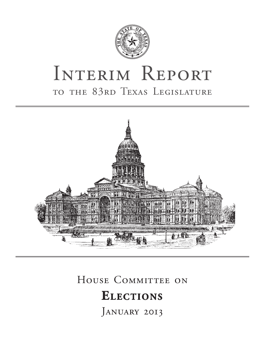

# INTERIM REPORT to the 83rd Texas Legislature



## HOUSE COMMITTEE ON

## **Elect ion s**

JANUARY 2013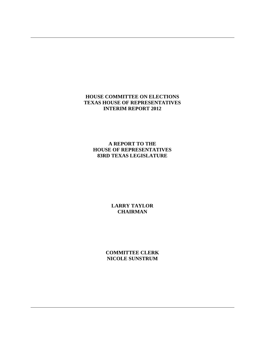## **HOUSE COMMITTEE ON ELECTIONS TEXAS HOUSE OF REPRESENTATIVES INTERIM REPORT 2012**

## **A REPORT TO THE HOUSE OF REPRESENTATIVES 83RD TEXAS LEGISLATURE**

## **LARRY TAYLOR CHAIRMAN**

**COMMITTEE CLERK NICOLE SUNSTRUM**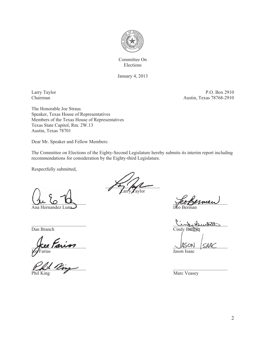

Committee On Elections

January 4, 2013

Larry Taylor P.O. Box 2910<br>
Chairman Austin, Texas 78768-2910 Austin, Texas 78768-2910

The Honorable Joe Straus Speaker, Texas House of Representatives Members of the Texas House of Representatives Texas State Capitol, Rm. 2W.13 Austin, Texas 78701

Dear Mr. Speaker and Fellow Members:

The Committee on Elections of the Eighty-Second Legislature hereby submits its interim report including recommendations for consideration by the Eighty-third Legislature.

Respectfully submitted,

 $U$   $U$   $U$   $U$   $U$ 

Ana Hernandez I

ycee Tanon and the same of the same of the same of the same of the same of the same of the same of the same of Joe Farias Jason Isaac

 $\frac{1}{2}$  ling Phil King Marc Veasey

 $\sqrt{2}$ arry Taylor

 $\mathcal{L}$ tertuit obnil Dan Branch Cindy Burkett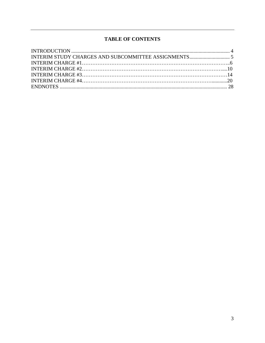## **TABLE OF CONTENTS**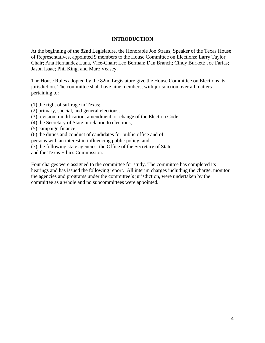### **INTRODUCTION**

At the beginning of the 82nd Legislature, the Honorable Joe Straus, Speaker of the Texas House of Representatives, appointed 9 members to the House Committee on Elections: Larry Taylor, Chair; Ana Hernandez Luna, Vice-Chair; Leo Berman; Dan Branch; Cindy Burkett; Joe Farias; Jason Isaac; Phil King; and Marc Veasey.

The House Rules adopted by the 82nd Legislature give the House Committee on Elections its jurisdiction. The committee shall have nine members, with jurisdiction over all matters pertaining to:

(1) the right of suffrage in Texas;

(2) primary, special, and general elections;

(3) revision, modification, amendment, or change of the Election Code;

(4) the Secretary of State in relation to elections;

(5) campaign finance;

(6) the duties and conduct of candidates for public office and of

persons with an interest in influencing public policy; and

(7) the following state agencies: the Office of the Secretary of State

and the Texas Ethics Commission.

Four charges were assigned to the committee for study. The committee has completed its hearings and has issued the following report. All interim charges including the charge, monitor the agencies and programs under the committee's jurisdiction, were undertaken by the committee as a whole and no subcommittees were appointed.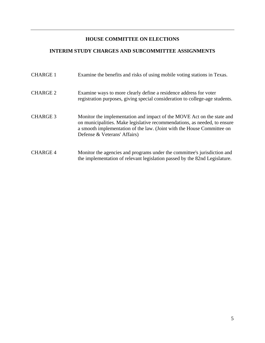## **HOUSE COMMITTEE ON ELECTIONS**

## **INTERIM STUDY CHARGES AND SUBCOMMITTEE ASSIGNMENTS**

| <b>CHARGE 1</b> | Examine the benefits and risks of using mobile voting stations in Texas.                                                                                                                                                                                      |
|-----------------|---------------------------------------------------------------------------------------------------------------------------------------------------------------------------------------------------------------------------------------------------------------|
| <b>CHARGE 2</b> | Examine ways to more clearly define a residence address for voter<br>registration purposes, giving special consideration to college-age students.                                                                                                             |
| <b>CHARGE 3</b> | Monitor the implementation and impact of the MOVE Act on the state and<br>on municipalities. Make legislative recommendations, as needed, to ensure<br>a smooth implementation of the law. (Joint with the House Committee on<br>Defense & Veterans' Affairs) |
| <b>CHARGE 4</b> | Monitor the agencies and programs under the committee's jurisdiction and<br>the implementation of relevant legislation passed by the 82nd Legislature.                                                                                                        |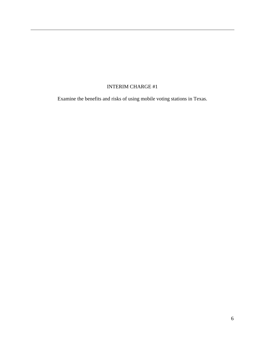## INTERIM CHARGE #1

Examine the benefits and risks of using mobile voting stations in Texas.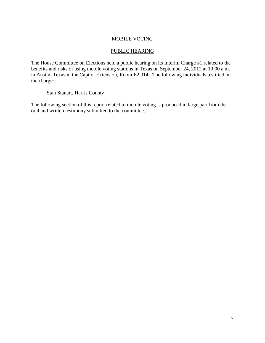## MOBILE VOTING

#### PUBLIC HEARING

The House Committee on Elections held a public hearing on its Interim Charge #1 related to the benefits and risks of using mobile voting stations in Texas on September 24, 2012 at 10:00 a.m. in Austin, Texas in the Capitol Extension, Room E2.014. The following individuals testified on the charge:

Stan Stanart, Harris County

The following section of this report related to mobile voting is produced in large part from the oral and written testimony submitted to the committee.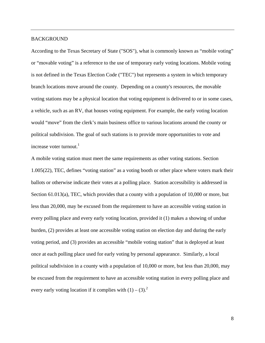#### BACKGROUND

According to the Texas Secretary of State ("SOS"), what is commonly known as "mobile voting" or "movable voting" is a reference to the use of temporary early voting locations. Mobile voting is not defined in the Texas Election Code ("TEC") but represents a system in which temporary branch locations move around the county. Depending on a county's resources, the movable voting stations may be a physical location that voting equipment is delivered to or in some cases, a vehicle, such as an RV, that houses voting equipment. For example, the early voting location would "move" from the clerk's main business office to various locations around the county or political subdivision. The goal of such stations is to provide more opportunities to vote and increase voter turnout. $1$ 

A mobile voting station must meet the same requirements as other voting stations. Section 1.005(22), TEC, defines "voting station" as a voting booth or other place where voters mark their ballots or otherwise indicate their votes at a polling place. Station accessibility is addressed in Section 61.013(a), TEC, which provides that a county with a population of 10,000 or more, but less than 20,000, may be excused from the requirement to have an accessible voting station in every polling place and every early voting location, provided it (1) makes a showing of undue burden, (2) provides at least one accessible voting station on election day and during the early voting period, and (3) provides an accessible "mobile voting station" that is deployed at least once at each polling place used for early voting by personal appearance. Similarly, a local political subdivision in a county with a population of 10,000 or more, but less than 20,000, may be excused from the requirement to have an accessible voting station in every polling place and every early voting location if it complies with  $(1) - (3)^2$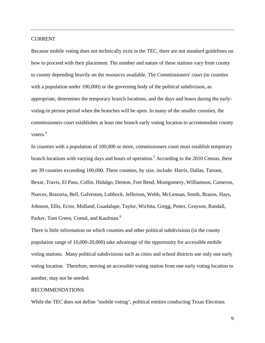#### CURRENT

Because mobile voting does not technically exist in the TEC, there are not standard guidelines on how to proceed with their placement. The number and nature of these stations vary from county to county depending heavily on the resources available. The Commissioners' court (in counties with a population under 100,000) or the governing body of the political subdivision, as appropriate, determines the temporary branch locations, and the days and hours during the earlyvoting-in person period when the branches will be open. In many of the smaller counties, the commissioners court establishes at least one branch early voting location to accommodate county voters.<sup>4</sup>

In counties with a population of 100,000 or more, commissioners court must establish temporary branch locations with varying days and hours of operation.<sup>5</sup> According to the 2010 Census, there are 39 counties exceeding 100,000. These counties, by size, include: Harris, Dallas, Tarrant, Bexar, Travis, El Paso, Collin, Hidalgo, Denton, Fort Bend, Montgomery, Williamson, Cameron, Nueces, Brazoria, Bell, Galveston, Lubbock, Jefferson, Webb, McLennan, Smith, Brazos, Hays, Johnson, Ellis, Ector, Midland, Guadalupe, Taylor, Wichita, Gregg, Potter, Grayson, Randall, Parker, Tom Green, Comal, and Kaufman.<sup>6</sup>

There is little information on which counties and other political subdivisions (in the county population range of 10,000-20,000) take advantage of the opportunity for accessible mobile voting stations. Many political subdivisions such as cities and school districts use only one early voting location. Therefore, moving an accessible voting station from one early voting location to another, may not be needed.

#### RECOMMENDATIONS

While the TEC does not define "mobile voting", political entities conducting Texas Elections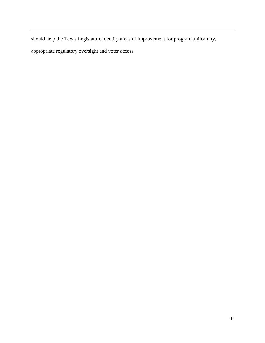should help the Texas Legislature identify areas of improvement for program uniformity,

appropriate regulatory oversight and voter access.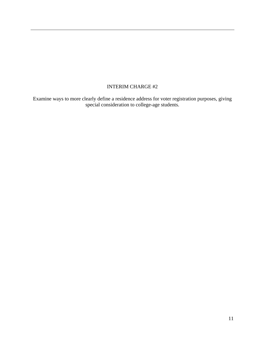## INTERIM CHARGE #2

Examine ways to more clearly define a residence address for voter registration purposes, giving special consideration to college-age students.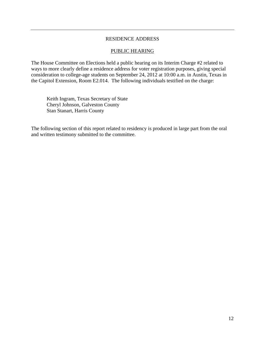#### RESIDENCE ADDRESS

#### PUBLIC HEARING

The House Committee on Elections held a public hearing on its Interim Charge #2 related to ways to more clearly define a residence address for voter registration purposes, giving special consideration to college-age students on September 24, 2012 at 10:00 a.m. in Austin, Texas in the Capitol Extension, Room E2.014. The following individuals testified on the charge:

 Keith Ingram, Texas Secretary of State Cheryl Johnson, Galveston County Stan Stanart, Harris County

The following section of this report related to residency is produced in large part from the oral and written testimony submitted to the committee.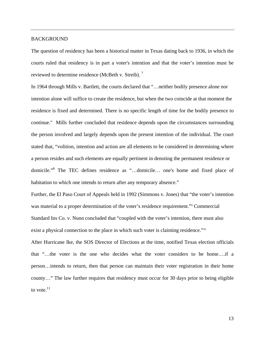#### BACKGROUND

The question of residency has been a historical matter in Texas dating back to 1936, in which the courts ruled that residency is in part a voter's intention and that the voter's intention must be reviewed to determine residence (McBeth v. Streib).<sup>7</sup>

In 1964 through Mills v. Bartlett, the courts declared that "... neither bodily presence alone nor intention alone will suffice to create the residence, but when the two coincide at that moment the residence is fixed and determined. There is no specific length of time for the bodily presence to continue." Mills further concluded that residence depends upon the circumstances surrounding the person involved and largely depends upon the present intention of the individual. The court stated that, "volition, intention and action are all elements to be considered in determining where a person resides and such elements are equally pertinent in denoting the permanent residence or domicile."<sup>8</sup> The TEC defines residence as "...domicile... one's home and fixed place of habitation to which one intends to return after any temporary absence."

Further, the El Paso Court of Appeals held in 1992 (Simmons v. Jones) that "the voter's intention was material to a proper determination of the voter's residence requirement."<sup>9</sup> Commercial Standard Ins Co. v. Nunn concluded that "coupled with the voter's intention, there must also exist a physical connection to the place in which such voter is claiming residence."<sup>10</sup>

After Hurricane Ike, the SOS Director of Elections at the time, notified Texas election officials that "…the voter is the one who decides what the voter considers to be home….if a person…intends to return, then that person can maintain their voter registration in their home county…" The law further requires that residency must occur for 30 days prior to being eligible to vote. $^{11}$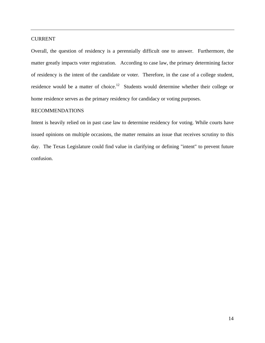#### CURRENT

Overall, the question of residency is a perennially difficult one to answer. Furthermore, the matter greatly impacts voter registration. According to case law, the primary determining factor of residency is the intent of the candidate or voter. Therefore, in the case of a college student, residence would be a matter of choice.<sup>12</sup> Students would determine whether their college or home residence serves as the primary residency for candidacy or voting purposes.

#### RECOMMENDATIONS

Intent is heavily relied on in past case law to determine residency for voting. While courts have issued opinions on multiple occasions, the matter remains an issue that receives scrutiny to this day. The Texas Legislature could find value in clarifying or defining "intent" to prevent future confusion.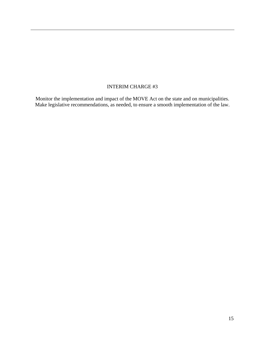## INTERIM CHARGE #3

Monitor the implementation and impact of the MOVE Act on the state and on municipalities. Make legislative recommendations, as needed, to ensure a smooth implementation of the law.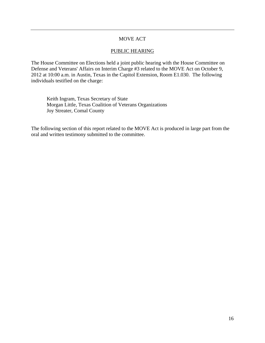#### MOVE ACT

#### PUBLIC HEARING

The House Committee on Elections held a joint public hearing with the House Committee on Defense and Veterans' Affairs on Interim Charge #3 related to the MOVE Act on October 9, 2012 at 10:00 a.m. in Austin, Texas in the Capitol Extension, Room E1.030. The following individuals testified on the charge:

 Keith Ingram, Texas Secretary of State Morgan Little, Texas Coalition of Veterans Organizations Joy Streater, Comal County

The following section of this report related to the MOVE Act is produced in large part from the oral and written testimony submitted to the committee.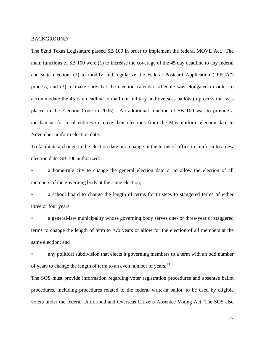#### **BACKGROUND**

The 82nd Texas Legislature passed SB 100 in order to implement the federal MOVE Act. The main functions of SB 100 were (1) to increase the coverage of the 45 day deadline to any federal and state election, (2) to modify and regularize the Federal Postcard Application ("FPCA") process, and (3) to make sure that the election calendar schedule was elongated in order to accommodate the 45 day deadline to mail out military and overseas ballots (a process that was placed in the Election Code in 2005). An additional function of SB 100 was to provide a mechanism for local entities to move their elections from the May uniform election date to November uniform election date.

To facilitate a change in the election date or a change in the terms of office to conform to a new election date, SB 100 authorized:

• a home-rule city to change the general election date or to allow the election of all members of the governing body at the same election;

a school board to change the length of terms for trustees to staggered terms of either three or four years;

• a general-law municipality whose governing body serves one- or three-year or staggered terms to change the length of term to two years or allow for the election of all members at the same election; and

any political subdivision that elects it governing members to a term with an odd number of years to change the length of term to an even number of years.<sup>13</sup>

The SOS must provide information regarding voter registration procedures and absentee ballot procedures, including procedures related to the federal write-in ballot, to be used by eligible voters under the federal Uniformed and Overseas Citizens Absentee Voting Act. The SOS also

17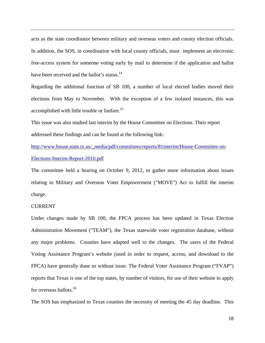acts as the state coordinator between military and overseas voters and county election officials. In addition, the SOS, in coordination with local county officials, must implement an electronic free-access system for someone voting early by mail to determine if the application and ballot have been received and the ballot's status.<sup>14</sup>

Regarding the additional function of SB 100, a number of local elected bodies moved their elections from May to November. With the exception of a few isolated instances, this was accomplished with little trouble or fanfare.<sup>15</sup>

This issue was also studied last interim by the House Committee on Elections. Their report addressed these findings and can be found at the following link:

http://www.house.state.tx.us/\_media/pdf/committees/reports/81interim/House-Committee-on-Elections-Interim-Report-2010.pdf

The committee held a hearing on October 9, 2012, to gather more information about issues relating to Military and Overseas Voter Empowerment ("MOVE") Act to fulfill the interim charge.

#### CURRENT

Under changes made by SB 100, the FPCA process has been updated in Texas Election Administration Movement ("TEAM"), the Texas statewide voter registration database, without any major problems. Counties have adapted well to the changes. The users of the Federal Voting Assistance Program's website (used in order to request, access, and download to the FPCA) have generally done so without issue. The Federal Voter Assistance Program ("FVAP") reports that Texas is one of the top states, by number of visitors, for use of their website to apply for overseas ballots.<sup>16</sup>

The SOS has emphasized to Texas counties the necessity of meeting the 45 day deadline. This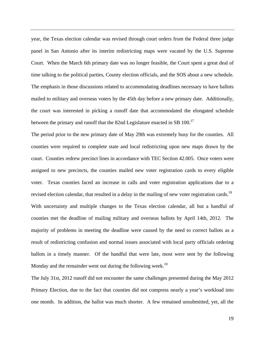year, the Texas election calendar was revised through court orders from the Federal three judge panel in San Antonio after its interim redistricting maps were vacated by the U.S. Supreme Court. When the March 6th primary date was no longer feasible, the Court spent a great deal of time talking to the political parties, County election officials, and the SOS about a new schedule. The emphasis in those discussions related to accommodating deadlines necessary to have ballots mailed to military and overseas voters by the 45th day before a new primary date. Additionally, the court was interested in picking a runoff date that accommodated the elongated schedule between the primary and runoff that the 82nd Legislature enacted in SB 100.<sup>17</sup>

The period prior to the new primary date of May 29th was extremely busy for the counties. All counties were required to complete state and local redistricting upon new maps drawn by the court. Counties redrew precinct lines in accordance with TEC Section 42.005. Once voters were assigned to new precincts, the counties mailed new voter registration cards to every eligible voter. Texas counties faced an increase in calls and voter registration applications due to a revised election calendar, that resulted in a delay in the mailing of new voter registration cards.<sup>18</sup> With uncertainty and multiple changes to the Texas election calendar, all but a handful of counties met the deadline of mailing military and overseas ballots by April 14th, 2012. The majority of problems in meeting the deadline were caused by the need to correct ballots as a result of redistricting confusion and normal issues associated with local party officials ordering ballots in a timely manner. Of the handful that were late, most were sent by the following Monday and the remainder went out during the following week.<sup>19</sup>

The July 31st, 2012 runoff did not encounter the same challenges presented during the May 2012 Primary Election, due to the fact that counties did not compress nearly a year's workload into one month. In addition, the ballot was much shorter. A few remained unsubmitted, yet, all the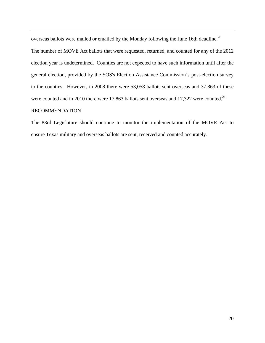overseas ballots were mailed or emailed by the Monday following the June 16th deadline.<sup>20</sup> The number of MOVE Act ballots that were requested, returned, and counted for any of the 2012 election year is undetermined. Counties are not expected to have such information until after the general election, provided by the SOS's Election Assistance Commission's post-election survey to the counties. However, in 2008 there were 53,058 ballots sent overseas and 37,863 of these were counted and in 2010 there were 17,863 ballots sent overseas and 17,322 were counted.<sup>21</sup>

#### RECOMMENDATION

The 83rd Legislature should continue to monitor the implementation of the MOVE Act to ensure Texas military and overseas ballots are sent, received and counted accurately.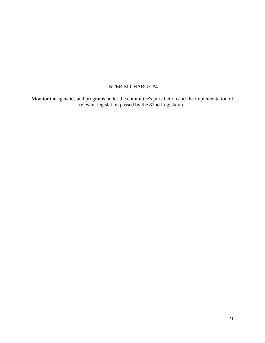## INTERIM CHARGE #4

Monitor the agencies and programs under the committee's jurisdiction and the implementation of relevant legislation passed by the 82nd Legislature.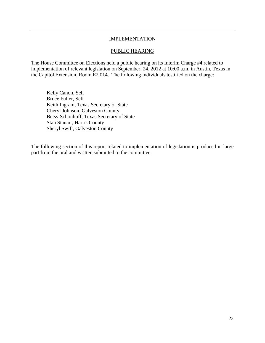#### IMPLEMENTATION

#### PUBLIC HEARING

The House Committee on Elections held a public hearing on its Interim Charge #4 related to implementation of relevant legislation on September, 24, 2012 at 10:00 a.m. in Austin, Texas in the Capitol Extension, Room E2.014. The following individuals testified on the charge:

 Kelly Canon, Self Bruce Fuller, Self Keith Ingram, Texas Secretary of State Cheryl Johnson, Galveston County Betsy Schonhoff, Texas Secretary of State Stan Stanart, Harris County Sheryl Swift, Galveston County

The following section of this report related to implementation of legislation is produced in large part from the oral and written submitted to the committee.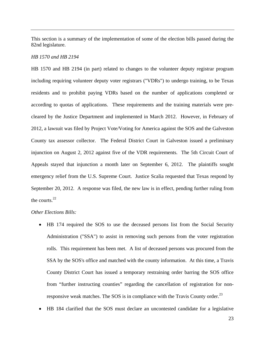This section is a summary of the implementation of some of the election bills passed during the 82nd legislature.

#### *HB 1570 and HB 2194*

HB 1570 and HB 2194 (in part) related to changes to the volunteer deputy registrar program including requiring volunteer deputy voter registrars ("VDRs") to undergo training, to be Texas residents and to prohibit paying VDRs based on the number of applications completed or according to quotas of applications. These requirements and the training materials were precleared by the Justice Department and implemented in March 2012. However, in February of 2012, a lawsuit was filed by Project Vote/Voting for America against the SOS and the Galveston County tax assessor collector. The Federal District Court in Galveston issued a preliminary injunction on August 2, 2012 against five of the VDR requirements. The 5th Circuit Court of Appeals stayed that injunction a month later on September 6, 2012. The plaintiffs sought emergency relief from the U.S. Supreme Court. Justice Scalia requested that Texas respond by September 20, 2012. A response was filed, the new law is in effect, pending further ruling from the courts. $22$ 

#### *Other Elections Bills:*

- HB 174 required the SOS to use the deceased persons list from the Social Security Administration ("SSA") to assist in removing such persons from the voter registration rolls. This requirement has been met. A list of deceased persons was procured from the SSA by the SOS's office and matched with the county information. At this time, a Travis County District Court has issued a temporary restraining order barring the SOS office from "further instructing counties" regarding the cancellation of registration for nonresponsive weak matches. The SOS is in compliance with the Travis County order.<sup>23</sup>
- HB 184 clarified that the SOS must declare an uncontested candidate for a legislative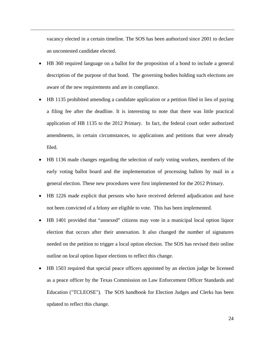vacancy elected in a certain timeline. The SOS has been authorized since 2001 to declare an uncontested candidate elected.

- HB 360 required language on a ballot for the proposition of a bond to include a general description of the purpose of that bond. The governing bodies holding such elections are aware of the new requirements and are in compliance.
- HB 1135 prohibited amending a candidate application or a petition filed in lieu of paying a filing fee after the deadline. It is interesting to note that there was little practical application of HB 1135 to the 2012 Primary. In fact, the federal court order authorized amendments, in certain circumstances, to applications and petitions that were already filed.
- HB 1136 made changes regarding the selection of early voting workers, members of the early voting ballot board and the implementation of processing ballots by mail in a general election. These new procedures were first implemented for the 2012 Primary.
- HB 1226 made explicit that persons who have received deferred adjudication and have not been convicted of a felony are eligible to vote. This has been implemented.
- HB 1401 provided that "annexed" citizens may vote in a municipal local option liquor election that occurs after their annexation. It also changed the number of signatures needed on the petition to trigger a local option election. The SOS has revised their online outline on local option liquor elections to reflect this change.
- HB 1503 required that special peace officers appointed by an election judge be licensed as a peace officer by the Texas Commission on Law Enforcement Officer Standards and Education ("TCLEOSE"). The SOS handbook for Election Judges and Clerks has been updated to reflect this change.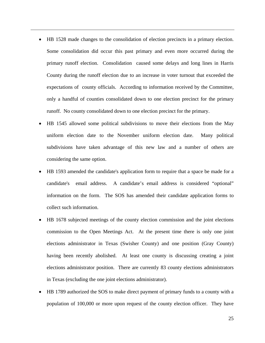- HB 1528 made changes to the consolidation of election precincts in a primary election. Some consolidation did occur this past primary and even more occurred during the primary runoff election. Consolidation caused some delays and long lines in Harris County during the runoff election due to an increase in voter turnout that exceeded the expectations of county officials. According to information received by the Committee, only a handful of counties consolidated down to one election precinct for the primary runoff. No county consolidated down to one election precinct for the primary.
- HB 1545 allowed some political subdivisions to move their elections from the May uniform election date to the November uniform election date. Many political subdivisions have taken advantage of this new law and a number of others are considering the same option.
- HB 1593 amended the candidate's application form to require that a space be made for a candidate's email address. A candidate's email address is considered "optional" information on the form. The SOS has amended their candidate application forms to collect such information.
- HB 1678 subjected meetings of the county election commission and the joint elections commission to the Open Meetings Act. At the present time there is only one joint elections administrator in Texas (Swisher County) and one position (Gray County) having been recently abolished. At least one county is discussing creating a joint elections administrator position. There are currently 83 county elections administrators in Texas (excluding the one joint elections administrator).
- HB 1789 authorized the SOS to make direct payment of primary funds to a county with a population of 100,000 or more upon request of the county election officer. They have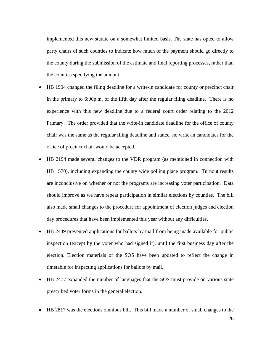implemented this new statute on a somewhat limited basis. The state has opted to allow party chairs of such counties to indicate how much of the payment should go directly to the county during the submission of the estimate and final reporting processes, rather than the counties specifying the amount.

- HB 1904 changed the filing deadline for a write-in candidate for county or precinct chair in the primary to 6:00p.m. of the fifth day after the regular filing deadline. There is no experience with this new deadline due to a federal court order relating to the 2012 Primary. The order provided that the write-in candidate deadline for the office of county chair was the same as the regular filing deadline and stated no write-in candidates for the office of precinct chair would be accepted.
- HB 2194 made several changes to the VDR program (as mentioned in connection with HB 1570), including expanding the county wide polling place program. Turnout results are inconclusive on whether or not the programs are increasing voter participation. Data should improve as we have repeat participation in similar elections by counties. The bill also made small changes to the procedure for appointment of election judges and election day procedures that have been implemented this year without any difficulties.
- HB 2449 prevented applications for ballots by mail from being made available for public inspection (except by the voter who had signed it), until the first business day after the election. Election materials of the SOS have been updated to reflect the change in timetable for inspecting applications for ballots by mail.
- HB 2477 expanded the number of languages that the SOS must provide on various state prescribed voter forms in the general election.
- HB 2817 was the elections omnibus bill. This bill made a number of small changes to the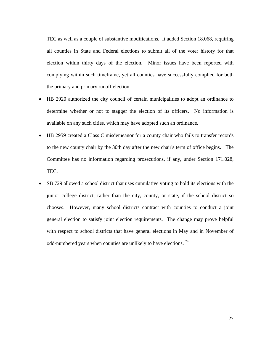TEC as well as a couple of substantive modifications. It added Section 18.068, requiring all counties in State and Federal elections to submit all of the voter history for that election within thirty days of the election. Minor issues have been reported with complying within such timeframe, yet all counties have successfully complied for both the primary and primary runoff election.

- HB 2920 authorized the city council of certain municipalities to adopt an ordinance to determine whether or not to stagger the election of its officers. No information is available on any such cities, which may have adopted such an ordinance.
- HB 2959 created a Class C misdemeanor for a county chair who fails to transfer records to the new county chair by the 30th day after the new chair's term of office begins. The Committee has no information regarding prosecutions, if any, under Section 171.028, TEC.
- SB 729 allowed a school district that uses cumulative voting to hold its elections with the junior college district, rather than the city, county, or state, if the school district so chooses. However, many school districts contract with counties to conduct a joint general election to satisfy joint election requirements. The change may prove helpful with respect to school districts that have general elections in May and in November of odd-numbered years when counties are unlikely to have elections. <sup>24</sup>